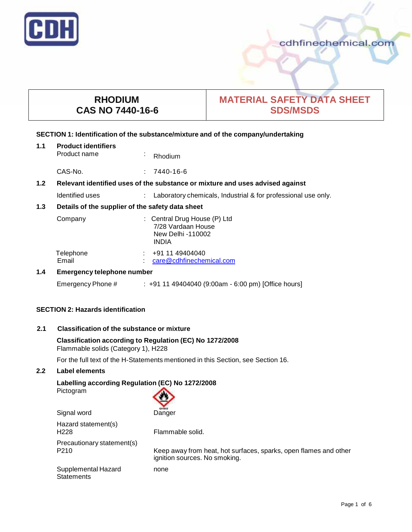

# **RHODIUM CAS NO 7440-16-6**

# **MATERIAL SAFETY DATA SHEET SDS/MSDS**

### **SECTION 1: Identification of the substance/mixture and of the company/undertaking**

| 1.1 | <b>Product identifiers</b><br>Product name                                    | $\epsilon$ | Rhodium                                                                                 |
|-----|-------------------------------------------------------------------------------|------------|-----------------------------------------------------------------------------------------|
|     | CAS-No.                                                                       | ÷          | 7440-16-6                                                                               |
| 1.2 | Relevant identified uses of the substance or mixture and uses advised against |            |                                                                                         |
|     | Identified uses                                                               |            | Laboratory chemicals, Industrial & for professional use only.                           |
| 1.3 | Details of the supplier of the safety data sheet                              |            |                                                                                         |
|     | Company                                                                       |            | : Central Drug House (P) Ltd<br>7/28 Vardaan House<br>New Delhi -110002<br><b>INDIA</b> |
|     | Telephone<br>Email                                                            |            | +91 11 49404040<br>care@cdhfinechemical.com                                             |
| 1.4 | Emergency telephone number                                                    |            |                                                                                         |

Emergency Phone # : +91 11 49404040 (9:00am - 6:00 pm) [Office hours]

# **SECTION 2: Hazards identification**

# **2.1 Classification of the substance ormixture**

## **Classification according to Regulation (EC) No 1272/2008** Flammable solids (Category 1), H228

For the full text of the H-Statements mentioned in this Section, see Section 16.

# **2.2 Label elements**

# **Labelling according Regulation (EC) No 1272/2008**

Pictogram

| <b>GHS02</b> |
|--------------|
| Janger       |

| Signal word                                    | Danger                                                                                            |
|------------------------------------------------|---------------------------------------------------------------------------------------------------|
| Hazard statement(s)<br>H <sub>228</sub>        | Flammable solid.                                                                                  |
| Precautionary statement(s)<br>P <sub>210</sub> | Keep away from heat, hot surfaces, sparks, open flames and other<br>ignition sources. No smoking. |
| Supplemental Hazard<br><b>Statements</b>       | none                                                                                              |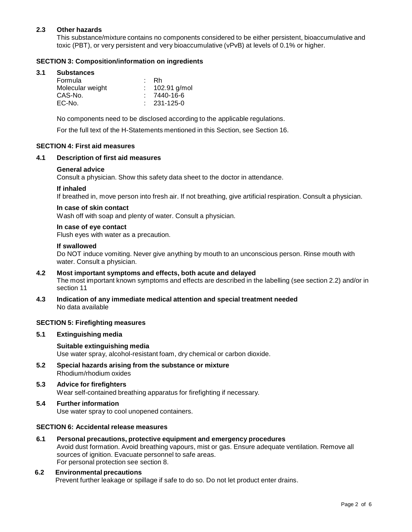# **2.3 Other hazards**

This substance/mixture contains no components considered to be either persistent, bioaccumulative and toxic (PBT), or very persistent and very bioaccumulative (vPvB) at levels of 0.1% or higher.

# **SECTION 3: Composition/information on ingredients**

### **3.1 Substances**

| Formula          | : Rh              |
|------------------|-------------------|
| Molecular weight | $: 102.91$ g/mol  |
| CAS-No.          | $: 7440 - 16 - 6$ |
| EC-No.           | $: 231 - 125 - 0$ |

No components need to be disclosed according to the applicable regulations.

For the full text of the H-Statements mentioned in this Section, see Section 16.

#### **SECTION 4: First aid measures**

#### **4.1 Description of first aid measures**

#### **General advice**

Consult a physician. Show this safety data sheet to the doctor in attendance.

#### **If inhaled**

If breathed in, move person into fresh air. If not breathing, give artificial respiration. Consult a physician.

#### **In case of skin contact**

Wash off with soap and plenty of water. Consult a physician.

#### **In case of eye contact**

Flush eyes with water as a precaution.

#### **If swallowed**

Do NOT induce vomiting. Never give anything by mouth to an unconscious person. Rinse mouth with water. Consult a physician.

# **4.2 Most important symptoms and effects, both acute and delayed** The most important known symptoms and effects are described in the labelling (see section 2.2) and/or in section 11

**4.3 Indication of any immediate medical attention and special treatment needed** No data available

#### **SECTION 5: Firefighting measures**

**5.1 Extinguishing media**

#### **Suitable extinguishing media** Use water spray, alcohol-resistant foam, dry chemical or carbon dioxide.

- **5.2 Special hazards arising from the substance ormixture** Rhodium/rhodium oxides
- **5.3 Advice for firefighters** Wear self-contained breathing apparatus for firefighting if necessary.
- **5.4 Further information** Use water spray to cool unopened containers.

#### **SECTION 6: Accidental release measures**

**6.1 Personal precautions, protective equipment and emergency procedures** Avoid dust formation. Avoid breathing vapours, mist or gas. Ensure adequate ventilation. Remove all sources of ignition. Evacuate personnel to safe areas. For personal protection see section 8.

#### **6.2 Environmental precautions** Prevent further leakage or spillage if safe to do so. Do not let product enter drains.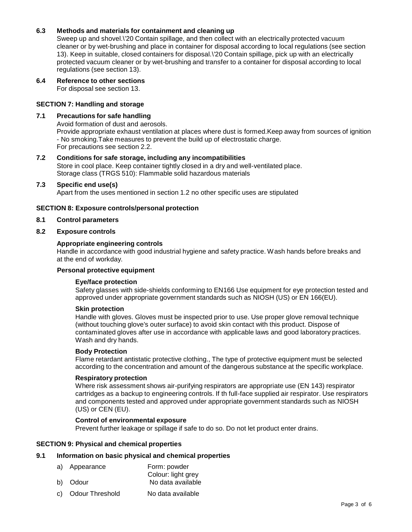# **6.3 Methods and materials for containment and cleaning up**

Sweep up and shovel.\'20 Contain spillage, and then collect with an electrically protected vacuum cleaner or by wet-brushing and place in container for disposal according to local regulations (see section 13). Keep in suitable, closed containers for disposal.\'20 Contain spillage, pick up with an electrically protected vacuum cleaner or by wet-brushing and transfer to a container for disposal according to local regulations (see section 13).

# **6.4 Reference to other sections**

For disposal see section 13.

# **SECTION 7: Handling and storage**

### **7.1 Precautions for safe handling**

Avoid formation of dust and aerosols.

Provide appropriate exhaust ventilation at places where dust is formed.Keep away from sources of ignition - No smoking.Take measures to prevent the build up of electrostatic charge. For precautions see section 2.2.

# **7.2 Conditions for safe storage, including any incompatibilities**

Store in cool place. Keep container tightly closed in a dry and well-ventilated place. Storage class (TRGS 510): Flammable solid hazardous materials

#### **7.3 Specific end use(s)**

Apart from the uses mentioned in section 1.2 no other specific uses are stipulated

#### **SECTION 8: Exposure controls/personal protection**

#### **8.1 Control parameters**

#### **8.2 Exposure controls**

#### **Appropriate engineering controls**

Handle in accordance with good industrial hygiene and safety practice. Wash hands before breaks and at the end of workday.

# **Personal protective equipment**

#### **Eye/face protection**

Safety glasses with side-shields conforming to EN166 Use equipment for eye protection tested and approved under appropriate government standards such as NIOSH (US) or EN 166(EU).

#### **Skin protection**

Handle with gloves. Gloves must be inspected prior to use. Use proper glove removal technique (without touching glove's outer surface) to avoid skin contact with this product. Dispose of contaminated gloves after use in accordance with applicable laws and good laboratory practices. Wash and dry hands.

#### **Body Protection**

Flame retardant antistatic protective clothing., The type of protective equipment must be selected according to the concentration and amount of the dangerous substance at the specific workplace.

#### **Respiratory protection**

Where risk assessment shows air-purifying respirators are appropriate use (EN 143) respirator cartridges as a backup to engineering controls. If th full-face supplied air respirator. Use respirators and components tested and approved under appropriate government standards such as NIOSH (US) or CEN (EU).

# **Control of environmental exposure**

Prevent further leakage or spillage if safe to do so. Do not let product enter drains.

#### **SECTION 9: Physical and chemical properties**

#### **9.1 Information on basic physical and chemical properties**

| a) Appearance | Form: powder       |
|---------------|--------------------|
|               | Colour: light grey |
| b) Odour      | No data available  |

c) Odour Threshold No data available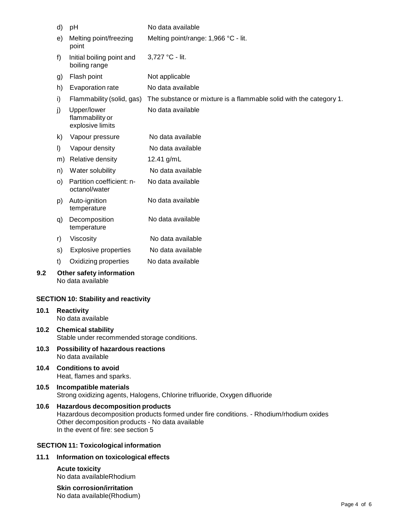|      | d)<br>рH                                                                                                                                                                                                                      |                                             | No data available                                                  |  |  |
|------|-------------------------------------------------------------------------------------------------------------------------------------------------------------------------------------------------------------------------------|---------------------------------------------|--------------------------------------------------------------------|--|--|
|      | Melting point/freezing<br>e)<br>point                                                                                                                                                                                         |                                             | Melting point/range: 1,966 °C - lit.                               |  |  |
|      | f)<br>Initial boiling point and<br>boiling range                                                                                                                                                                              |                                             | 3,727 °C - lit.                                                    |  |  |
|      | g)                                                                                                                                                                                                                            | Flash point                                 | Not applicable                                                     |  |  |
|      | h)                                                                                                                                                                                                                            | Evaporation rate                            | No data available                                                  |  |  |
|      | i)                                                                                                                                                                                                                            | Flammability (solid, gas)                   | The substance or mixture is a flammable solid with the category 1. |  |  |
|      | Upper/lower<br>j)<br>flammability or<br>explosive limits                                                                                                                                                                      |                                             | No data available                                                  |  |  |
|      | k)                                                                                                                                                                                                                            | Vapour pressure                             | No data available                                                  |  |  |
|      | $\vert$                                                                                                                                                                                                                       | Vapour density                              | No data available                                                  |  |  |
|      | m)                                                                                                                                                                                                                            | Relative density                            | 12.41 g/mL                                                         |  |  |
|      | Water solubility<br>n)                                                                                                                                                                                                        |                                             | No data available                                                  |  |  |
|      | Partition coefficient: n-<br>$\circ)$<br>octanol/water                                                                                                                                                                        |                                             | No data available                                                  |  |  |
|      | Auto-ignition<br>p)<br>temperature                                                                                                                                                                                            |                                             | No data available                                                  |  |  |
|      | q)                                                                                                                                                                                                                            | Decomposition<br>temperature                | No data available                                                  |  |  |
|      | r)                                                                                                                                                                                                                            | Viscosity                                   | No data available                                                  |  |  |
|      | s)                                                                                                                                                                                                                            | <b>Explosive properties</b>                 | No data available                                                  |  |  |
|      | t)                                                                                                                                                                                                                            | Oxidizing properties                        | No data available                                                  |  |  |
| 9.2  | Other safety information<br>No data available                                                                                                                                                                                 |                                             |                                                                    |  |  |
|      |                                                                                                                                                                                                                               | <b>SECTION 10: Stability and reactivity</b> |                                                                    |  |  |
| 10.1 | <b>Reactivity</b><br>No data available                                                                                                                                                                                        |                                             |                                                                    |  |  |
| 10.2 | <b>Chemical stability</b><br>Stable under recommended storage conditions.                                                                                                                                                     |                                             |                                                                    |  |  |
| 10.3 | Possibility of hazardous reactions<br>No data available                                                                                                                                                                       |                                             |                                                                    |  |  |
| 10.4 | <b>Conditions to avoid</b><br>Heat, flames and sparks.                                                                                                                                                                        |                                             |                                                                    |  |  |
| 10.5 | Incompatible materials<br>Strong oxidizing agents, Halogens, Chlorine trifluoride, Oxygen difluoride                                                                                                                          |                                             |                                                                    |  |  |
| 10.6 | <b>Hazardous decomposition products</b><br>Hazardous decomposition products formed under fire conditions. - Rhodium/rhodium oxides<br>Other decomposition products - No data available<br>In the event of fire: see section 5 |                                             |                                                                    |  |  |

# **SECTION 11: Toxicological information**

# **11.1 Information on toxicological effects**

# **Acute toxicity**

No data availableRhodium

# **Skin corrosion/irritation** No data available(Rhodium)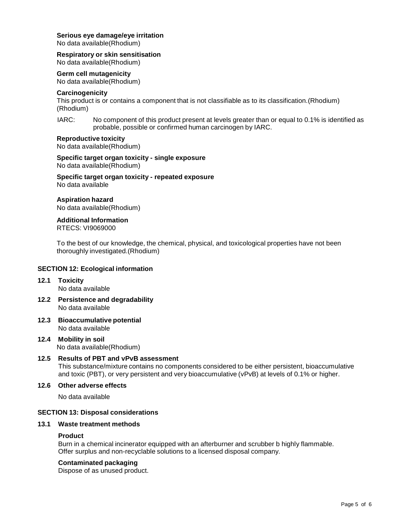# **Serious eye damage/eye irritation**

No data available(Rhodium)

# **Respiratory orskin sensitisation**

No data available(Rhodium)

# **Germ cell mutagenicity**

No data available(Rhodium)

# **Carcinogenicity**

This product is or contains a component that is not classifiable as to its classification.(Rhodium) (Rhodium)

IARC: No component of this product present at levels greater than or equal to 0.1% is identified as probable, possible or confirmed human carcinogen by IARC.

#### **Reproductive toxicity**

No data available(Rhodium)

**Specific target organ toxicity - single exposure** No data available(Rhodium)

**Specific target organ toxicity - repeated exposure** No data available

# **Aspiration hazard**

No data available(Rhodium)

#### **Additional Information** RTECS: VI9069000

To the best of our knowledge, the chemical, physical, and toxicological properties have not been thoroughly investigated.(Rhodium)

# **SECTION 12: Ecological information**

#### **12.1 Toxicity** No data available

- **12.2 Persistence and degradability** No data available
- **12.3 Bioaccumulative potential** No data available
- **12.4 Mobility in soil** No data available(Rhodium)

# **12.5 Results of PBT and vPvB assessment**

This substance/mixture contains no components considered to be either persistent, bioaccumulative and toxic (PBT), or very persistent and very bioaccumulative (vPvB) at levels of 0.1% or higher.

#### **12.6 Other adverse effects**

No data available

# **SECTION 13: Disposal considerations**

#### **13.1 Waste treatment methods**

#### **Product**

Burn in a chemical incinerator equipped with an afterburner and scrubber b highly flammable. Offer surplus and non-recyclable solutions to a licensed disposal company.

# **Contaminated packaging**

Dispose of as unused product.